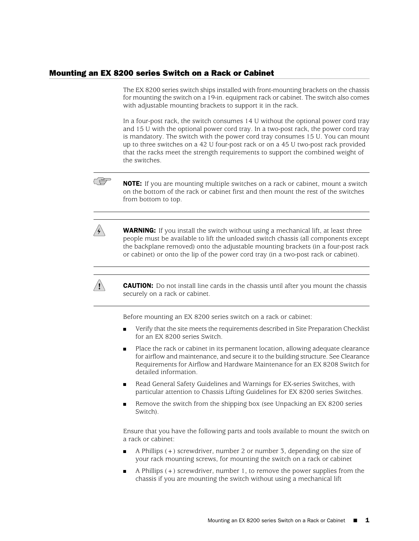## Mounting an EX 8200 series Switch on a Rack or Cabinet

The EX 8200 series switch ships installed with front-mounting brackets on the chassis for mounting the switch on a 19-in. equipment rack or cabinet. The switch also comes with adjustable mounting brackets to support it in the rack.

In a four-post rack, the switch consumes 14 U without the optional power cord tray and 15 U with the optional power cord tray. In a two-post rack, the power cord tray is mandatory. The switch with the power cord tray consumes 15 U. You can mount up to three switches on a 42 U four-post rack or on a 45 U two-post rack provided that the racks meet the strength requirements to support the combined weight of the switches.



**NOTE:** If you are mounting multiple switches on a rack or cabinet, mount a switch on the bottom of the rack or cabinet first and then mount the rest of the switches from bottom to top.



**WARNING:** If you install the switch without using a mechanical lift, at least three people must be available to lift the unloaded switch chassis (all components except the backplane removed) onto the adjustable mounting brackets (in a four-post rack or cabinet) or onto the lip of the power cord tray (in a two-post rack or cabinet).



**CAUTION:** Do not install line cards in the chassis until after you mount the chassis securely on a rack or cabinet.

Before mounting an EX 8200 series switch on a rack or cabinet:

- Verify that the site meets the requirements described in Site Preparation Checklist for an EX 8200 series Switch.
- Place the rack or cabinet in its permanent location, allowing adequate clearance for airflow and maintenance, and secure it to the building structure. See Clearance Requirements for Airflow and Hardware Maintenance for an EX 8208 Switch for detailed information.
- Read General Safety Guidelines and Warnings for EX-series Switches, with particular attention to Chassis Lifting Guidelines for EX 8200 series Switches.
- Remove the switch from the shipping box (see Unpacking an EX 8200 series Switch).

Ensure that you have the following parts and tools available to mount the switch on a rack or cabinet:

- A Phillips (+) screwdriver, number 2 or number 3, depending on the size of your rack mounting screws, for mounting the switch on a rack or cabinet
- A Phillips  $(+)$  screwdriver, number 1, to remove the power supplies from the chassis if you are mounting the switch without using a mechanical lift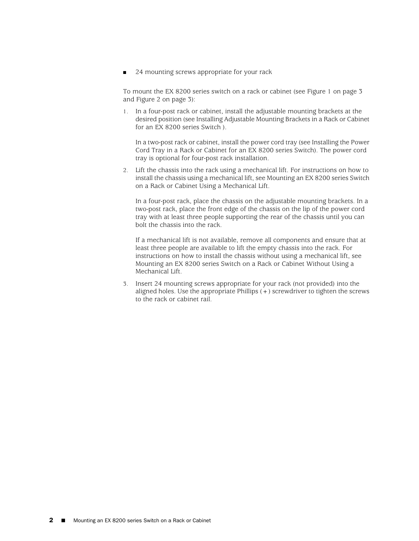■ 24 mounting screws appropriate for your rack

To mount the EX 8200 series switch on a rack or cabinet (see [Figure 1 on page 3](#page-2-0) and [Figure 2 on page 3](#page-2-1)):

1. In a four-post rack or cabinet, install the adjustable mounting brackets at the desired position (see Installing Adjustable Mounting Brackets in a Rack or Cabinet for an EX 8200 series Switch ).

In a two-post rack or cabinet, install the power cord tray (see Installing the Power Cord Tray in a Rack or Cabinet for an EX 8200 series Switch). The power cord tray is optional for four-post rack installation.

2. Lift the chassis into the rack using a mechanical lift. For instructions on how to install the chassis using a mechanical lift, see Mounting an EX 8200 series Switch on a Rack or Cabinet Using a Mechanical Lift.

In a four-post rack, place the chassis on the adjustable mounting brackets. In a two-post rack, place the front edge of the chassis on the lip of the power cord tray with at least three people supporting the rear of the chassis until you can bolt the chassis into the rack.

If a mechanical lift is not available, remove all components and ensure that at least three people are available to lift the empty chassis into the rack. For instructions on how to install the chassis without using a mechanical lift, see Mounting an EX 8200 series Switch on a Rack or Cabinet Without Using a Mechanical Lift.

3. Insert 24 mounting screws appropriate for your rack (not provided) into the aligned holes. Use the appropriate Phillips (+) screwdriver to tighten the screws to the rack or cabinet rail.